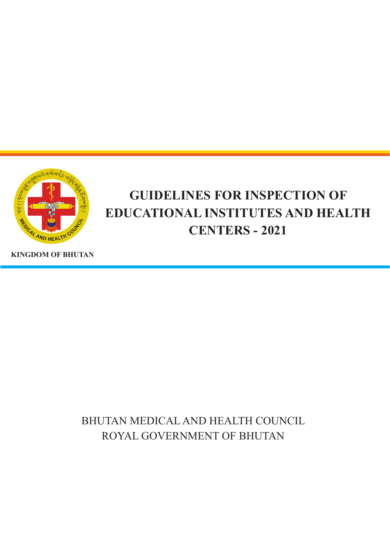

# **GUIDELINES FOR INSPECTION OF EDUCATIONAL INSTITUTES AND HEALTH CENTERS - 2021**

**KINGDOM OF BHUTAN**

BHUTAN MEDICAL AND HEALTH COUNCIL ROYAL GOVERNMENT OF BHUTAN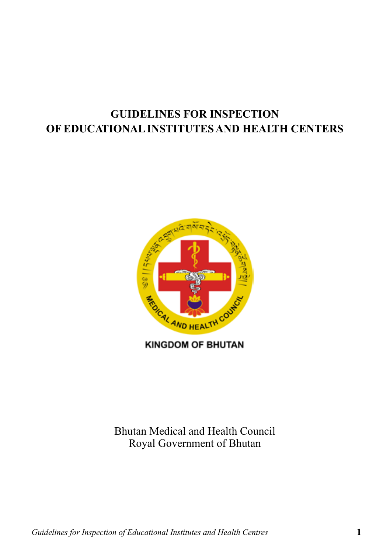# **GUIDELINES FOR INSPECTION OF EDUCATIONAL INSTITUTES AND HEALTH CENTERS**



**KINGDOM OF BHUTAN** 

Bhutan Medical and Health Council Royal Government of Bhutan

*Guidelines for Inspection of Educational Institutes and Health Centres* **1**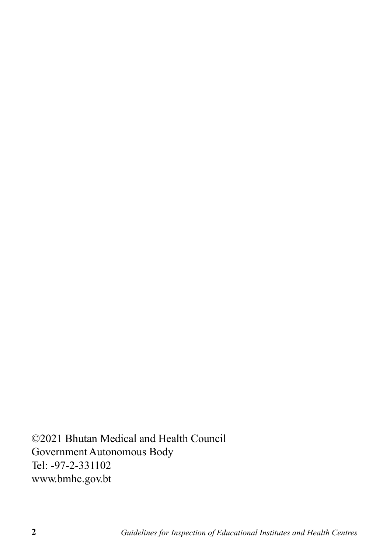©2021 Bhutan Medical and Health Council Government Autonomous Body Tel: -97-2-331102 www.bmhc.gov.bt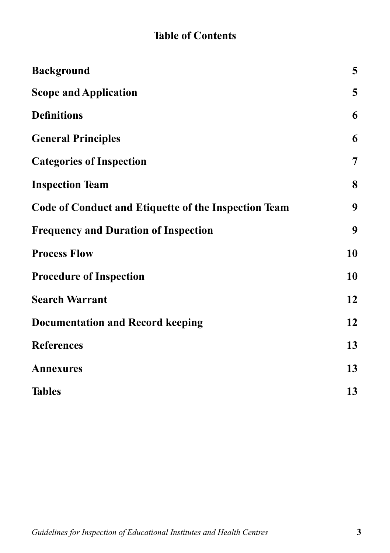# **Table of Contents**

| <b>Background</b>                                    | 5              |
|------------------------------------------------------|----------------|
| <b>Scope and Application</b>                         | 5              |
| <b>Definitions</b>                                   | 6              |
| <b>General Principles</b>                            | 6              |
| <b>Categories of Inspection</b>                      | $\overline{7}$ |
| <b>Inspection Team</b>                               | 8              |
| Code of Conduct and Etiquette of the Inspection Team | 9              |
| <b>Frequency and Duration of Inspection</b>          | 9              |
| <b>Process Flow</b>                                  | 10             |
| <b>Procedure of Inspection</b>                       | 10             |
| <b>Search Warrant</b>                                | 12             |
| <b>Documentation and Record keeping</b>              | 12             |
| <b>References</b>                                    | 13             |
| <b>Annexures</b>                                     | 13             |
| <b>Tables</b>                                        | 13             |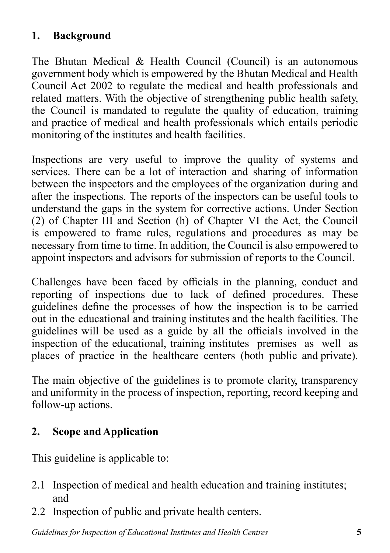## **1. Background**

The Bhutan Medical & Health Council (Council) is an autonomous government body which is empowered by the Bhutan Medical and Health Council Act 2002 to regulate the medical and health professionals and related matters. With the objective of strengthening public health safety, the Council is mandated to regulate the quality of education, training and practice of medical and health professionals which entails periodic monitoring of the institutes and health facilities.

Inspections are very useful to improve the quality of systems and services. There can be a lot of interaction and sharing of information between the inspectors and the employees of the organization during and after the inspections. The reports of the inspectors can be useful tools to understand the gaps in the system for corrective actions. Under Section (2) of Chapter III and Section (h) of Chapter VI the Act, the Council is empowered to frame rules, regulations and procedures as may be necessary from time to time. In addition, the Council is also empowered to appoint inspectors and advisors for submission of reports to the Council.

Challenges have been faced by officials in the planning, conduct and reporting of inspections due to lack of defined procedures. These guidelines define the processes of how the inspection is to be carried out in the educational and training institutes and the health facilities. The guidelines will be used as a guide by all the officials involved in the inspection of the educational, training institutes premises as well as places of practice in the healthcare centers (both public and private).

The main objective of the guidelines is to promote clarity, transparency and uniformity in the process of inspection, reporting, record keeping and follow-up actions.

# **2. Scope and Application**

This guideline is applicable to:

- 2.1 Inspection of medical and health education and training institutes; and
- 2.2 Inspection of public and private health centers.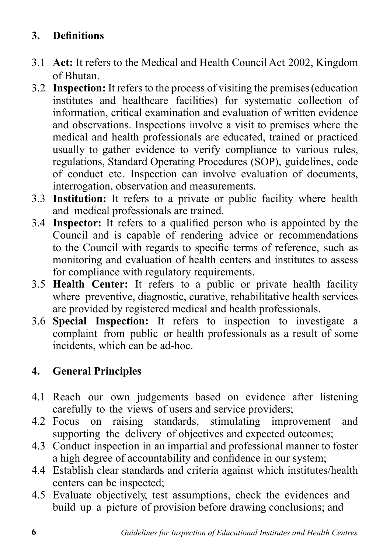# **3. Definitions**

- 3.1 **Act:** It refers to the Medical and Health Council Act 2002, Kingdom of Bhutan.
- 3.2 **Inspection:** It refers to the process of visiting the premises (education institutes and healthcare facilities) for systematic collection of information, critical examination and evaluation of written evidence and observations. Inspections involve a visit to premises where the medical and health professionals are educated, trained or practiced usually to gather evidence to verify compliance to various rules, regulations, Standard Operating Procedures (SOP), guidelines, code of conduct etc. Inspection can involve evaluation of documents, interrogation, observation and measurements.
- 3.3 **Institution:** It refers to a private or public facility where health and medical professionals are trained.
- 3.4 **Inspector:** It refers to a qualified person who is appointed by the Council and is capable of rendering advice or recommendations to the Council with regards to specific terms of reference, such as monitoring and evaluation of health centers and institutes to assess for compliance with regulatory requirements.
- 3.5 **Health Center:** It refers to a public or private health facility where preventive, diagnostic, curative, rehabilitative health services are provided by registered medical and health professionals.
- 3.6 **Special Inspection:** It refers to inspection to investigate a complaint from public or health professionals as a result of some incidents, which can be ad-hoc.

## **4. General Principles**

- 4.1 Reach our own judgements based on evidence after listening carefully to the views of users and service providers;
- 4.2 Focus on raising standards, stimulating improvement and supporting the delivery of objectives and expected outcomes;
- 4.3 Conduct inspection in an impartial and professional manner to foster a high degree of accountability and confidence in our system;
- 4.4 Establish clear standards and criteria against which institutes/health centers can be inspected;
- 4.5 Evaluate objectively, test assumptions, check the evidences and build up a picture of provision before drawing conclusions; and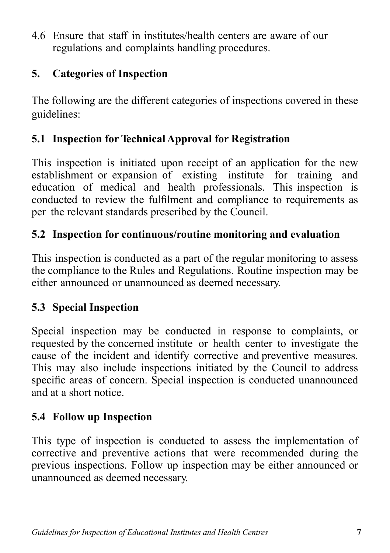4.6 Ensure that staff in institutes/health centers are aware of our regulations and complaints handling procedures.

#### **5. Categories of Inspection**

The following are the different categories of inspections covered in these guidelines:

### **5.1 Inspection for Technical Approval for Registration**

This inspection is initiated upon receipt of an application for the new establishment or expansion of existing institute for training and education of medical and health professionals. This inspection is conducted to review the fulfilment and compliance to requirements as per the relevant standards prescribed by the Council.

### **5.2 Inspection for continuous/routine monitoring and evaluation**

This inspection is conducted as a part of the regular monitoring to assess the compliance to the Rules and Regulations. Routine inspection may be either announced or unannounced as deemed necessary.

## **5.3 Special Inspection**

Special inspection may be conducted in response to complaints, or requested by the concerned institute or health center to investigate the cause of the incident and identify corrective and preventive measures. This may also include inspections initiated by the Council to address specific areas of concern. Special inspection is conducted unannounced and at a short notice.

## **5.4 Follow up Inspection**

This type of inspection is conducted to assess the implementation of corrective and preventive actions that were recommended during the previous inspections. Follow up inspection may be either announced or unannounced as deemed necessary.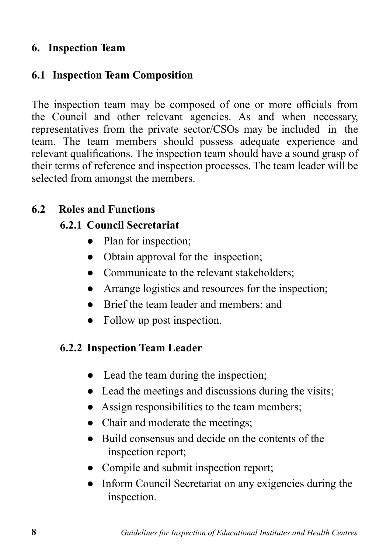#### **6. Inspection Team**

#### **6.1 Inspection Team Composition**

The inspection team may be composed of one or more officials from the Council and other relevant agencies. As and when necessary, representatives from the private sector/CSOs may be included in the team. The team members should possess adequate experience and relevant qualifications. The inspection team should have a sound grasp of their terms of reference and inspection processes. The team leader will be selected from amongst the members.

#### **6.2 Roles and Functions**

#### **6.2.1 Council Secretariat**

- Plan for inspection:
- Obtain approval for the inspection;
- Communicate to the relevant stakeholders;
- Arrange logistics and resources for the inspection;
- Brief the team leader and members; and
- Follow up post inspection.

#### **6.2.2 Inspection Team Leader**

- Lead the team during the inspection;
- Lead the meetings and discussions during the visits;
- Assign responsibilities to the team members;
- Chair and moderate the meetings;
- Build consensus and decide on the contents of the inspection report;
- Compile and submit inspection report;
- Inform Council Secretariat on any exigencies during the inspection.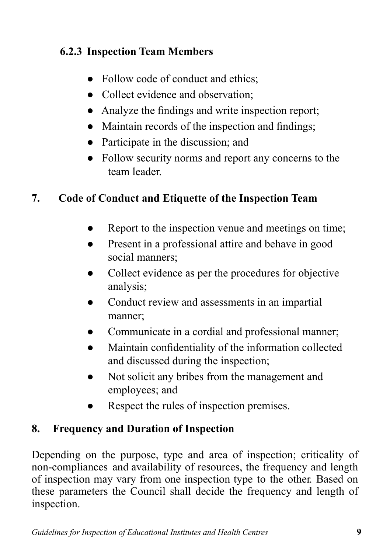# **6.2.3 Inspection Team Members**

- Follow code of conduct and ethics;
- Collect evidence and observation:
- Analyze the findings and write inspection report;
- Maintain records of the inspection and findings;
- Participate in the discussion; and
- Follow security norms and report any concerns to the team leader.

## **7. Code of Conduct and Etiquette of the Inspection Team**

- Report to the inspection venue and meetings on time;
- Present in a professional attire and behave in good social manners;
- Collect evidence as per the procedures for objective analysis;
- Conduct review and assessments in an impartial manner;
- Communicate in a cordial and professional manner;
- Maintain confidentiality of the information collected and discussed during the inspection;
- Not solicit any bribes from the management and employees; and
- Respect the rules of inspection premises.

## **8. Frequency and Duration of Inspection**

Depending on the purpose, type and area of inspection; criticality of non-compliances and availability of resources, the frequency and length of inspection may vary from one inspection type to the other. Based on these parameters the Council shall decide the frequency and length of inspection.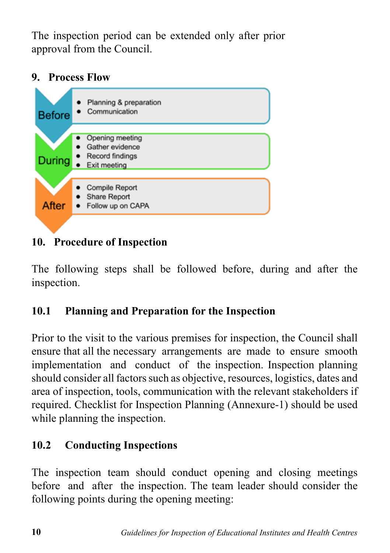The inspection period can be extended only after prior approval from the Council.

### **9. Process Flow**



**10. Procedure of Inspection**

The following steps shall be followed before, during and after the inspection.

# **10.1 Planning and Preparation for the Inspection**

Prior to the visit to the various premises for inspection, the Council shall ensure that all the necessary arrangements are made to ensure smooth implementation and conduct of the inspection. Inspection planning should consider all factors such as objective, resources, logistics, dates and area of inspection, tools, communication with the relevant stakeholders if required. Checklist for Inspection Planning (Annexure-1) should be used while planning the inspection.

# **10.2 Conducting Inspections**

The inspection team should conduct opening and closing meetings before and after the inspection. The team leader should consider the following points during the opening meeting: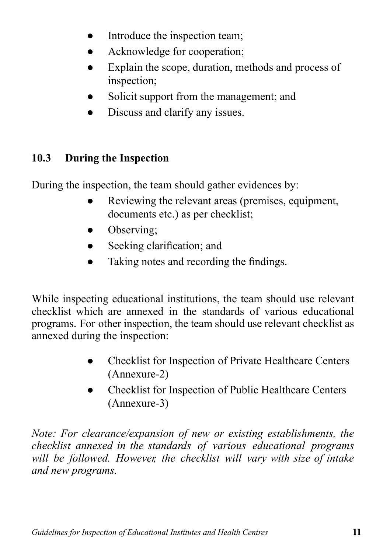- Introduce the inspection team;
- Acknowledge for cooperation;
- Explain the scope, duration, methods and process of inspection;
- Solicit support from the management; and
- Discuss and clarify any issues.

# **10.3 During the Inspection**

During the inspection, the team should gather evidences by:

- Reviewing the relevant areas (premises, equipment, documents etc.) as per checklist;
- Observing:
- Seeking clarification; and
- Taking notes and recording the findings.

While inspecting educational institutions, the team should use relevant checklist which are annexed in the standards of various educational programs. For other inspection, the team should use relevant checklist as annexed during the inspection:

- Checklist for Inspection of Private Healthcare Centers (Annexure-2)
- Checklist for Inspection of Public Healthcare Centers (Annexure-3)

*Note: For clearance/expansion of new or existing establishments, the checklist annexed in the standards of various educational programs will be followed. However, the checklist will vary with size of intake and new programs.*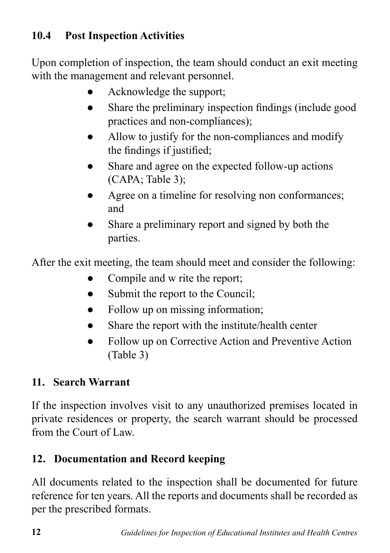# **10.4 Post Inspection Activities**

Upon completion of inspection, the team should conduct an exit meeting with the management and relevant personnel.

- Acknowledge the support;
- Share the preliminary inspection findings (include good practices and non-compliances);
- Allow to justify for the non-compliances and modify the findings if justified;
- Share and agree on the expected follow-up actions (CAPA; Table 3);
- Agree on a timeline for resolving non conformances; and
- Share a preliminary report and signed by both the parties.

After the exit meeting, the team should meet and consider the following:

- Compile and w rite the report;
- Submit the report to the Council;
- Follow up on missing information;
- Share the report with the institute/health center
- Follow up on Corrective Action and Preventive Action (Table 3)

## **11. Search Warrant**

If the inspection involves visit to any unauthorized premises located in private residences or property, the search warrant should be processed from the Court of Law.

## **12. Documentation and Record keeping**

All documents related to the inspection shall be documented for future reference for ten years. All the reports and documents shall be recorded as per the prescribed formats.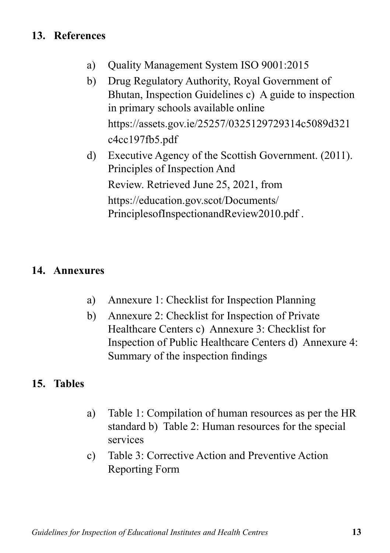## **13. References**

- a) Quality Management System ISO 9001:2015
- b) Drug Regulatory Authority, Royal Government of Bhutan, Inspection Guidelines c) A guide to inspection in primary schools available online https://assets.gov.ie/25257/0325129729314c5089d321 c4cc197fb5.pdf
- d) Executive Agency of the Scottish Government. (2011). Principles of Inspection And Review. Retrieved June 25, 2021, from https://education.gov.scot/Documents/ PrinciplesofInspectionandReview2010.pdf .

#### **14. Annexures**

- a) Annexure 1: Checklist for Inspection Planning
- b) Annexure 2: Checklist for Inspection of Private Healthcare Centers c) Annexure 3: Checklist for Inspection of Public Healthcare Centers d) Annexure 4: Summary of the inspection findings

#### **15. Tables**

- a) Table 1: Compilation of human resources as per the HR standard b) Table 2: Human resources for the special services
- c) Table 3: Corrective Action and Preventive Action Reporting Form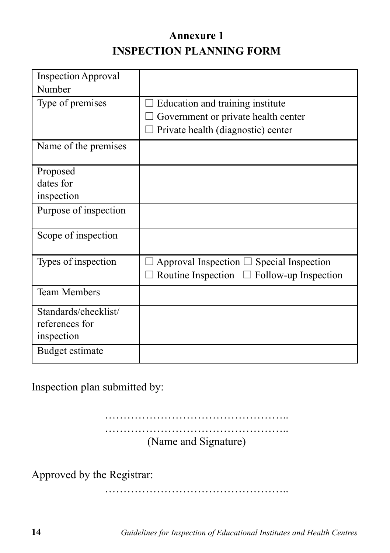# **Annexure 1 INSPECTION PLANNING FORM**

| Inspection Approval   |                                                |
|-----------------------|------------------------------------------------|
| Number                |                                                |
| Type of premises      | Education and training institute               |
|                       | Government or private health center            |
|                       | $\Box$ Private health (diagnostic) center      |
| Name of the premises  |                                                |
| Proposed              |                                                |
| dates for             |                                                |
| inspection            |                                                |
| Purpose of inspection |                                                |
| Scope of inspection   |                                                |
| Types of inspection   | Approval Inspection $\Box$ Special Inspection  |
|                       | Routine Inspection $\Box$ Follow-up Inspection |
| <b>Team Members</b>   |                                                |
| Standards/checklist/  |                                                |
| references for        |                                                |
| inspection            |                                                |
| Budget estimate       |                                                |

Inspection plan submitted by:

………………………………………….. …………………………………………………………… (Name and Signature)

Approved by the Registrar:

………………………………………………

**14** *Guidelines for Inspection of Educational Institutes and Health Centres*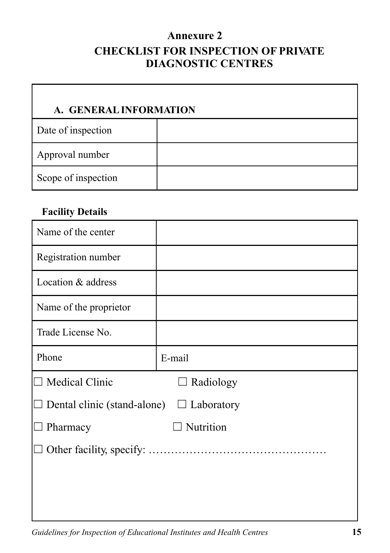#### **Annexure 2**

# **CHECKLIST FOR INSPECTION OF PRIVATE DIAGNOSTIC CENTRES**

# **A. GENERAL INFORMATION**

| Date of inspection  |  |
|---------------------|--|
| Approval number     |  |
| Scope of inspection |  |

#### **Facility Details**

| Name of the center                 |                   |
|------------------------------------|-------------------|
| Registration number                |                   |
| Location & address                 |                   |
| Name of the proprietor             |                   |
| Trade License No.                  |                   |
| Phone                              | E-mail            |
| $\Box$ Medical Clinic              | $\Box$ Radiology  |
| $\Box$ Dental clinic (stand-alone) | $\Box$ Laboratory |
| Pharmacy                           | Nutrition         |
|                                    |                   |
|                                    |                   |
|                                    |                   |
|                                    |                   |

*Guidelines for Inspection of Educational Institutes and Health Centres* **15**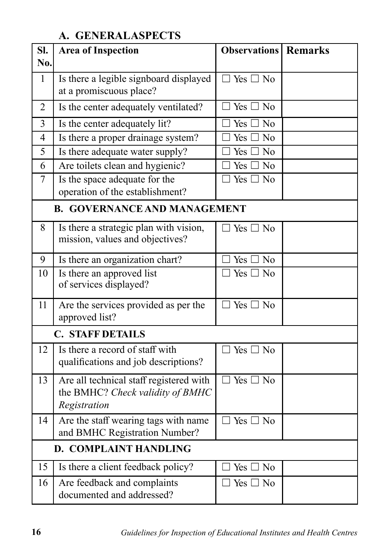## **A. GENERAL ASPECTS**

| SI.<br>No.                   | <b>Area of Inspection</b>                                                                   | <b>Observations</b> Remarks                              |  |
|------------------------------|---------------------------------------------------------------------------------------------|----------------------------------------------------------|--|
| $\mathbf{1}$                 | Is there a legible signboard displayed<br>at a promiscuous place?                           | $\Box$ Yes $\Box$ No                                     |  |
| $\overline{2}$               | Is the center adequately ventilated?                                                        | $\Box$ Yes $\Box$ No                                     |  |
| 3                            | Is the center adequately lit?                                                               | $\Box$ Yes $\Box$ No                                     |  |
| $\overline{4}$               | Is there a proper drainage system?                                                          | Yes $\square$ No                                         |  |
| 5                            | Is there adequate water supply?                                                             | $\Box$ Yes $\overline{\Box}$ No                          |  |
| 6                            | Are toilets clean and hygienic?                                                             | $\exists$ Yes $\Box$ No                                  |  |
| $\overline{7}$               | Is the space adequate for the<br>operation of the establishment?                            | $\Box$ Yes $\Box$ No                                     |  |
|                              | <b>B. GOVERNANCE AND MANAGEMENT</b>                                                         |                                                          |  |
| 8                            | Is there a strategic plan with vision,<br>mission, values and objectives?                   | $\Box$ Yes $\Box$ No                                     |  |
| 9                            | Is there an organization chart?                                                             | $\Box$ Yes $\Box$ No                                     |  |
| 10                           | Is there an approved list<br>of services displayed?                                         | $\overline{\Box \text{ Yes}} \overline{\Box \text{ No}}$ |  |
| 11                           | Are the services provided as per the<br>approved list?                                      | $\Box$ Yes $\Box$ No                                     |  |
|                              | <b>C. STAFF DETAILS</b>                                                                     |                                                          |  |
| 12                           | Is there a record of staff with<br>qualifications and job descriptions?                     | $\Box$ Yes $\Box$ No                                     |  |
| 13                           | Are all technical staff registered with<br>the BMHC? Check validity of BMHC<br>Registration | $\Box$ Yes $\Box$ No                                     |  |
| 14                           | Are the staff wearing tags with name<br>and BMHC Registration Number?                       | $\Box$ Yes $\Box$ No                                     |  |
| <b>D. COMPLAINT HANDLING</b> |                                                                                             |                                                          |  |
| 15                           | Is there a client feedback policy?                                                          | $\exists$ Yes $\Box$ No                                  |  |
| 16                           | Are feedback and complaints<br>documented and addressed?                                    | $\Box$ Yes $\Box$ No                                     |  |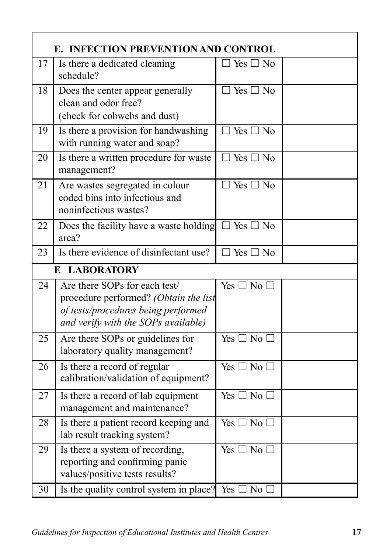|    | E. INFECTION PREVENTION AND CONTROL                                                                                                                  |                      |  |  |  |
|----|------------------------------------------------------------------------------------------------------------------------------------------------------|----------------------|--|--|--|
| 17 | Is there a dedicated cleaning<br>schedule?                                                                                                           | $\Box$ Yes $\Box$ No |  |  |  |
| 18 | Does the center appear generally<br>clean and odor free?<br>(check for cobwebs and dust)                                                             | $\Box$ Yes $\Box$ No |  |  |  |
| 19 | Is there a provision for handwashing<br>with running water and soap?                                                                                 | $\Box$ Yes $\Box$ No |  |  |  |
| 20 | Is there a written procedure for waste<br>management?                                                                                                | $\Box$ Yes $\Box$ No |  |  |  |
| 21 | Are wastes segregated in colour<br>coded bins into infectious and<br>noninfectious wastes?                                                           | $\Box$ Yes $\Box$ No |  |  |  |
| 22 | Does the facility have a waste holding $\Box$ Yes $\Box$ No<br>area?                                                                                 |                      |  |  |  |
| 23 | Is there evidence of disinfectant use?                                                                                                               | $\Box$ Yes $\Box$ No |  |  |  |
|    | <b>LABORATORY</b><br>E.                                                                                                                              |                      |  |  |  |
| 24 | Are there SOPs for each test/<br>procedure performed? (Obtain the list<br>of tests/procedures being performed<br>and verify with the SOPs available) | Yes $\Box$ No $\Box$ |  |  |  |
| 25 | Are there SOPs or guidelines for<br>laboratory quality management?                                                                                   | Yes $\Box$ No $\Box$ |  |  |  |
| 26 | Is there a record of regular<br>calibration/validation of equipment?                                                                                 | Yes $\Box$ No $\Box$ |  |  |  |
| 27 | Is there a record of lab equipment<br>management and maintenance?                                                                                    | Yes $\Box$ No $\Box$ |  |  |  |
| 28 | Is there a patient record keeping and<br>lab result tracking system?                                                                                 | Yes $\Box$ No $\Box$ |  |  |  |
| 29 | Is there a system of recording,<br>reporting and confirming panic<br>values/positive tests results?                                                  | Yes $\Box$ No $\Box$ |  |  |  |
| 30 | Is the quality control system in place? Yes $\square$ No $\square$                                                                                   |                      |  |  |  |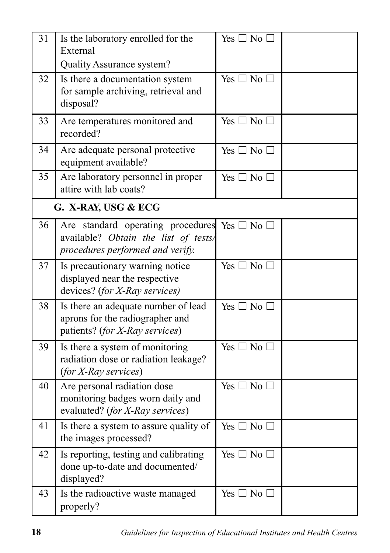| 31 | Is the laboratory enrolled for the<br>External<br>Quality Assurance system?                                   | Yes $\Box$ No $\Box$       |  |
|----|---------------------------------------------------------------------------------------------------------------|----------------------------|--|
| 32 | Is there a documentation system<br>for sample archiving, retrieval and<br>disposal?                           | $Yes \Box No \Box$         |  |
| 33 | Are temperatures monitored and<br>recorded?                                                                   | Yes $\Box$ No $\Box$       |  |
| 34 | Are adequate personal protective<br>equipment available?                                                      | Yes $\Box$ No $\Box$       |  |
| 35 | Are laboratory personnel in proper<br>attire with lab coats?                                                  | Yes $\Box$ No $\Box$       |  |
|    | G. X-RAY, USG & ECG                                                                                           |                            |  |
| 36 | Are standard operating procedures<br>available? Obtain the list of tests/<br>procedures performed and verify. | Yes $\square$ No $\square$ |  |
| 37 | Is precautionary warning notice<br>displayed near the respective<br>devices? (for X-Ray services)             | Yes $\Box$ No $\Box$       |  |
| 38 | Is there an adequate number of lead<br>aprons for the radiographer and<br>patients? (for X-Ray services)      | Yes $\Box$ No $\Box$       |  |
| 39 | Is there a system of monitoring<br>radiation dose or radiation leakage?<br>(for X-Ray services)               | Yes $\Box$ No $\Box$       |  |
| 40 | Are personal radiation dose<br>monitoring badges worn daily and<br>evaluated? (for X-Ray services)            | $Yes \Box No \Box$         |  |
| 41 | Is there a system to assure quality of<br>the images processed?                                               | Yes $\Box$ No $\Box$       |  |
| 42 | Is reporting, testing and calibrating<br>done up-to-date and documented/<br>displayed?                        | Yes $\Box$ No $\Box$       |  |
| 43 | Is the radioactive waste managed<br>properly?                                                                 | Yes $\Box$ No $\Box$       |  |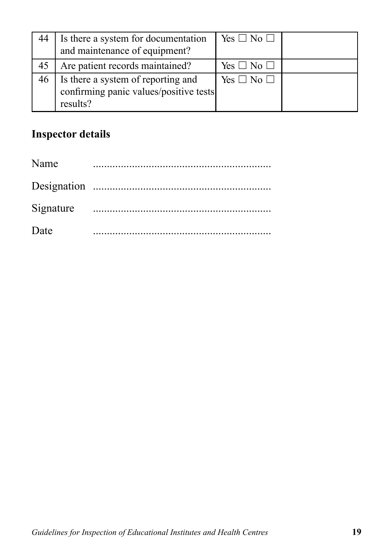| 44 | Is there a system for documentation<br>and maintenance of equipment?                     | Yes $\Box$ No $\Box$ |  |
|----|------------------------------------------------------------------------------------------|----------------------|--|
| 45 | Are patient records maintained?                                                          | Yes $\Box$ No $\Box$ |  |
| 46 | Is there a system of reporting and<br>confirming panic values/positive tests<br>results? | Yes $\Box$ No $\Box$ |  |

# **Inspector details**

| Name |  |
|------|--|
|      |  |
|      |  |
| Date |  |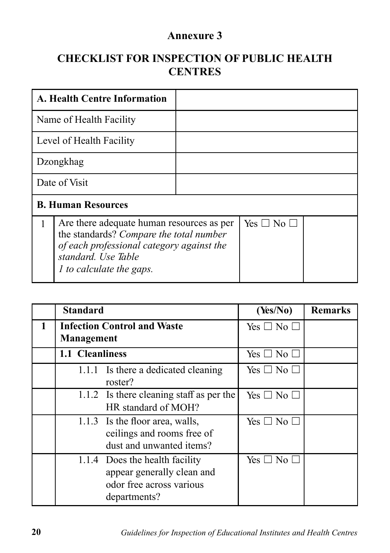#### **Annexure 3**

## **CHECKLIST FOR INSPECTION OF PUBLIC HEALTH CENTRES**

|   | <b>A. Health Centre Information</b>                                                                                                                                                         |                      |  |
|---|---------------------------------------------------------------------------------------------------------------------------------------------------------------------------------------------|----------------------|--|
|   | Name of Health Facility                                                                                                                                                                     |                      |  |
|   | Level of Health Facility                                                                                                                                                                    |                      |  |
|   | Dzongkhag                                                                                                                                                                                   |                      |  |
|   | Date of Visit                                                                                                                                                                               |                      |  |
|   | <b>B. Human Resources</b>                                                                                                                                                                   |                      |  |
| 1 | Are there adequate human resources as per<br>the standards? Compare the total number<br>of each professional category against the<br>standard. Use Table<br><i>l</i> to calculate the gaps. | Yes $\Box$ No $\Box$ |  |

|   | <b>Standard</b>                                  |                                                                                                          | (Yes/No)             | <b>Remarks</b> |
|---|--------------------------------------------------|----------------------------------------------------------------------------------------------------------|----------------------|----------------|
| 1 | <b>Infection Control and Waste</b><br>Management |                                                                                                          | Yes $\Box$ No $\Box$ |                |
|   | 1.1 Cleanliness                                  |                                                                                                          | Yes $\Box$ No $\Box$ |                |
|   |                                                  | 1.1.1 Is there a dedicated cleaning<br>roster?                                                           | Yes $\Box$ No $\Box$ |                |
|   |                                                  | 1.1.2 Is there cleaning staff as per the<br>HR standard of MOH?                                          | Yes $\Box$ No $\Box$ |                |
|   |                                                  | 1.1.3 Is the floor area, walls,<br>ceilings and rooms free of<br>dust and unwanted items?                | Yes $\Box$ No $\Box$ |                |
|   |                                                  | 1.1.4 Does the health facility<br>appear generally clean and<br>odor free across various<br>departments? | Yes $\Box$ No $\Box$ |                |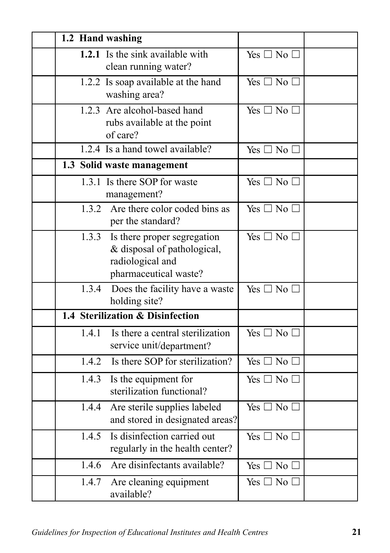| 1.2 Hand washing |                                                                                                         |                      |  |
|------------------|---------------------------------------------------------------------------------------------------------|----------------------|--|
|                  | 1.2.1 Is the sink available with<br>clean running water?                                                | Yes $\Box$ No $\Box$ |  |
|                  | 1.2.2 Is soap available at the hand<br>washing area?                                                    | $Yes \Box No \Box$   |  |
|                  | 1.2.3 Are alcohol-based hand<br>rubs available at the point<br>of care?                                 | Yes $\Box$ No $\Box$ |  |
|                  | 1.2.4 Is a hand towel available?                                                                        | Yes $\Box$ No $\Box$ |  |
|                  | 1.3 Solid waste management                                                                              |                      |  |
|                  | 1.3.1 Is there SOP for waste<br>management?                                                             | Yes $\Box$ No $\Box$ |  |
| 1.3.2            | Are there color coded bins as<br>per the standard?                                                      | $Yes \Box No \Box$   |  |
| 1.3.3            | Is there proper segregation<br>& disposal of pathological,<br>radiological and<br>pharmaceutical waste? | Yes $\Box$ No $\Box$ |  |
| 1.3.4            | Does the facility have a waste<br>holding site?                                                         | Yes $\Box$ No $\Box$ |  |
|                  | 1.4 Sterilization & Disinfection                                                                        |                      |  |
| 1.4.1            | Is there a central sterilization<br>service unit/department?                                            | Yes $\Box$ No $\Box$ |  |
| 1.4.2            | Is there SOP for sterilization?                                                                         | Yes $\Box$ No $\Box$ |  |
| 1.4.3            | Is the equipment for<br>sterilization functional?                                                       | Yes $\Box$ No $\Box$ |  |
| 1.4.4            | Are sterile supplies labeled<br>and stored in designated areas?                                         | Yes $\Box$ No $\Box$ |  |
| 1.4.5            | Is disinfection carried out<br>regularly in the health center?                                          | Yes $\Box$ No $\Box$ |  |
|                  | 1.4.6 Are disinfectants available?                                                                      | Yes $\Box$ No $\Box$ |  |
| 1.4.7            | Are cleaning equipment<br>available?                                                                    | Yes $\Box$ No $\Box$ |  |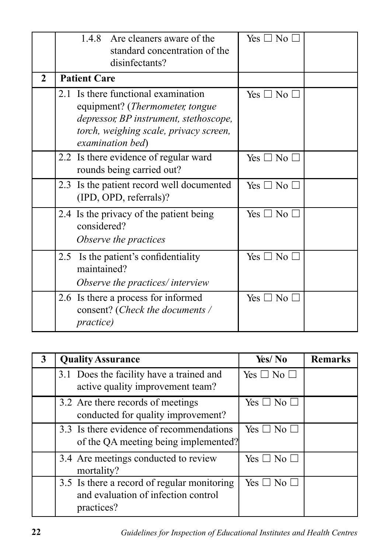|              | 1.4.8 Are cleaners aware of the<br>standard concentration of the<br>disinfectants?                                                                                             | Yes $\square$ No $\square$ |  |
|--------------|--------------------------------------------------------------------------------------------------------------------------------------------------------------------------------|----------------------------|--|
| $\mathbf{2}$ | <b>Patient Care</b>                                                                                                                                                            |                            |  |
|              | 2.1 Is there functional examination<br>equipment? (Thermometer, tongue<br>depressor, BP instrument, stethoscope,<br>torch, weighing scale, privacy screen,<br>examination bed) | $Yes \Box No \Box$         |  |
|              | 2.2 Is there evidence of regular ward<br>rounds being carried out?                                                                                                             | Yes $\square$ No $\square$ |  |
|              | 2.3 Is the patient record well documented<br>(IPD, OPD, referrals)?                                                                                                            | Yes $\Box$ No $\Box$       |  |
|              | 2.4 Is the privacy of the patient being<br>considered?<br>Observe the practices                                                                                                | Yes $\square$ No $\square$ |  |
|              | 2.5 Is the patient's confidentiality<br>maintained?<br>Observe the practices/ interview                                                                                        | Yes $\Box$ No $\Box$       |  |
|              | 2.6 Is there a process for informed<br>consent? (Check the documents /<br><i>practice</i> )                                                                                    | Yes $\Box$ No $\Box$       |  |

| <b>Quality Assurance</b>                                                                         | Yes/No                     | <b>Remarks</b> |
|--------------------------------------------------------------------------------------------------|----------------------------|----------------|
| 3.1 Does the facility have a trained and<br>active quality improvement team?                     | Yes $\square$ No $\square$ |                |
| 3.2 Are there records of meetings<br>conducted for quality improvement?                          | Yes $\Box$ No $\Box$       |                |
| 3.3 Is there evidence of recommendations<br>of the QA meeting being implemented?                 | Yes $\square$ No $\square$ |                |
| 3.4 Are meetings conducted to review<br>mortality?                                               | Yes $\Box$ No $\Box$       |                |
| 3.5 Is there a record of regular monitoring<br>and evaluation of infection control<br>practices? | Yes $\square$ No $\square$ |                |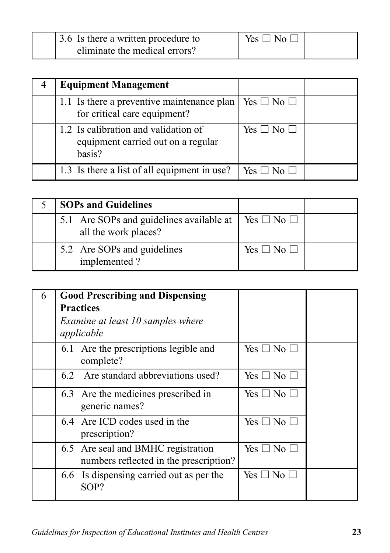| 3.6 Is there a written procedure to | Yes $\Box$ No $\Box$ |  |
|-------------------------------------|----------------------|--|
| eliminate the medical errors?       |                      |  |

| <b>Equipment Management</b>                                                          |                      |  |
|--------------------------------------------------------------------------------------|----------------------|--|
| 1.1 Is there a preventive maintenance plan<br>for critical care equipment?           | Yes $\Box$ No $\Box$ |  |
| 1.2 Is calibration and validation of<br>equipment carried out on a regular<br>basis? | $Yes \Box No \Box$   |  |
| 1.3 Is there a list of all equipment in use?                                         | Yes $\Box$ No $\Box$ |  |

| <b>SOPs and Guidelines</b>                                       |                      |  |
|------------------------------------------------------------------|----------------------|--|
| 5.1 Are SOPs and guidelines available at<br>all the work places? | Yes $\Box$ No $\Box$ |  |
| 5.2 Are SOPs and guidelines<br>implemented?                      | Yes $\Box$ No $\Box$ |  |

| 6 | <b>Good Prescribing and Dispensing</b><br><b>Practices</b><br>Examine at least 10 samples where<br>applicable |                            |  |
|---|---------------------------------------------------------------------------------------------------------------|----------------------------|--|
|   | 6.1 Are the prescriptions legible and<br>complete?                                                            | Yes $\square$ No $\square$ |  |
|   | Are standard abbreviations used?<br>6.2                                                                       | Yes $\Box$ No $\Box$       |  |
|   | 6.3 Are the medicines prescribed in<br>generic names?                                                         | Yes $\Box$ No $\Box$       |  |
|   | 6.4 Are ICD codes used in the<br>prescription?                                                                | Yes □ No □                 |  |
|   | 6.5 Are seal and BMHC registration<br>numbers reflected in the prescription?                                  | Yes □ No □                 |  |
|   | 6.6 Is dispensing carried out as per the<br>SOP?                                                              | Yes □ No □                 |  |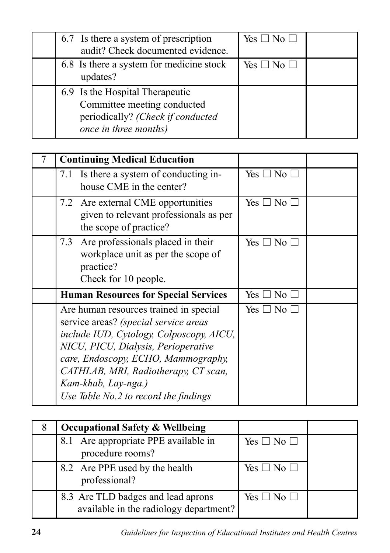| 6.7 Is there a system of prescription<br>audit? Check documented evidence.                                                   | Yes $\square$ No $\square$ |  |
|------------------------------------------------------------------------------------------------------------------------------|----------------------------|--|
| 6.8 Is there a system for medicine stock<br>updates?                                                                         | Yes $\Box$ No $\Box$       |  |
| 6.9 Is the Hospital Therapeutic<br>Committee meeting conducted<br>periodically? (Check if conducted<br>once in three months) |                            |  |

| <b>Continuing Medical Education</b>                                                                                                                                                                                                                                                                               |                            |  |
|-------------------------------------------------------------------------------------------------------------------------------------------------------------------------------------------------------------------------------------------------------------------------------------------------------------------|----------------------------|--|
| 7.1 Is there a system of conducting in-<br>house CME in the center?                                                                                                                                                                                                                                               | Yes $\Box$ No $\Box$       |  |
| 7.2 Are external CME opportunities<br>given to relevant professionals as per<br>the scope of practice?                                                                                                                                                                                                            | Yes $\square$ No $\square$ |  |
| Are professionals placed in their<br>7.3<br>workplace unit as per the scope of<br>practice?<br>Check for 10 people.                                                                                                                                                                                               | Yes $\Box$ No $\Box$       |  |
| <b>Human Resources for Special Services</b>                                                                                                                                                                                                                                                                       | Yes $\Box$ No $\Box$       |  |
| Are human resources trained in special<br>service areas? (special service areas<br>include IUD, Cytology, Colposcopy, AICU,<br>NICU, PICU, Dialysis, Perioperative<br>care, Endoscopy, ECHO, Mammography,<br>CATHLAB, MRI, Radiotherapy, CT scan,<br>Kam-khab, Lay-nga.)<br>Use Table No.2 to record the findings | Yes $\Box$ No $\Box$       |  |

| <b>Occupational Safety &amp; Wellbeing</b>                                   |                            |  |
|------------------------------------------------------------------------------|----------------------------|--|
| Are appropriate PPE available in<br>8.1<br>procedure rooms?                  | Yes $\square$ No $\square$ |  |
| 8.2 Are PPE used by the health<br>professional?                              | Yes $\square$ No $\square$ |  |
| 8.3 Are TLD badges and lead aprons<br>available in the radiology department? | Yes $\Box$ No $\Box$       |  |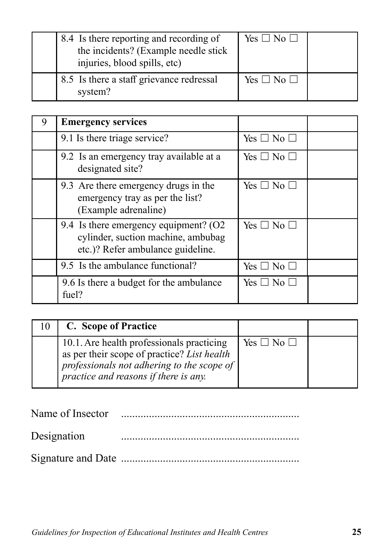| 8.4 Is there reporting and recording of<br>the incidents? (Example needle stick<br>injuries, blood spills, etc) | Yes $\Box$ No $\Box$ |  |
|-----------------------------------------------------------------------------------------------------------------|----------------------|--|
| 8.5 Is there a staff grievance redressal<br>system?                                                             | Yes $\Box$ No $\Box$ |  |

| <b>Emergency services</b>                                                                                        |                            |  |
|------------------------------------------------------------------------------------------------------------------|----------------------------|--|
| 9.1 Is there triage service?                                                                                     | Yes $\Box$ No $\Box$       |  |
| 9.2 Is an emergency tray available at a<br>designated site?                                                      | Yes $\square$ No $\square$ |  |
| 9.3 Are there emergency drugs in the<br>emergency tray as per the list?<br>(Example adrenaline)                  | Yes $\Box$ No $\Box$       |  |
| 9.4 Is there emergency equipment? (O2<br>cylinder, suction machine, ambubag<br>etc.)? Refer ambulance guideline. | Yes $\Box$ No $\Box$       |  |
| 9.5 Is the ambulance functional?                                                                                 | Yes $\square$ No $\square$ |  |
| 9.6 Is there a budget for the ambulance<br>fuel?                                                                 | Yes $\Box$ No $\Box$       |  |

| 10 I | C. Scope of Practice                                                                                                                                                            |                      |  |
|------|---------------------------------------------------------------------------------------------------------------------------------------------------------------------------------|----------------------|--|
|      | 10.1. Are health professionals practicing<br>as per their scope of practice? List health<br>professionals not adhering to the scope of<br>practice and reasons if there is any. | Yes $\Box$ No $\Box$ |  |

Name of Insector ................................................................

| Designation |  |
|-------------|--|
|-------------|--|

Signature and Date ................................................................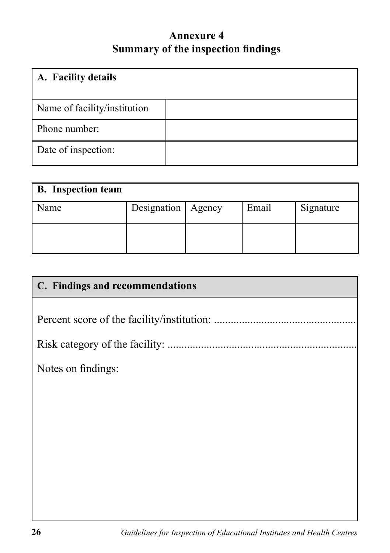### **Annexure 4 Summary of the inspection findings**

| A. Facility details          |  |
|------------------------------|--|
| Name of facility/institution |  |
| Phone number:                |  |
| Date of inspection:          |  |

| <b>B.</b> Inspection team |                      |       |           |
|---------------------------|----------------------|-------|-----------|
| Name                      | Designation   Agency | Email | Signature |
|                           |                      |       |           |

| C. Findings and recommendations |
|---------------------------------|
|                                 |
|                                 |
|                                 |
| Notes on findings:              |
|                                 |
|                                 |
|                                 |
|                                 |
|                                 |
|                                 |
|                                 |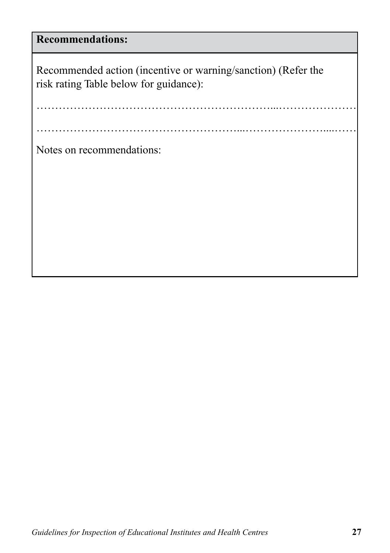## **Recommendations:**

Recommended action (incentive or warning/sanction) (Refer the risk rating Table below for guidance):

………………………………………………...…………………....……

………………………………………………………...…………………

Notes on recommendations: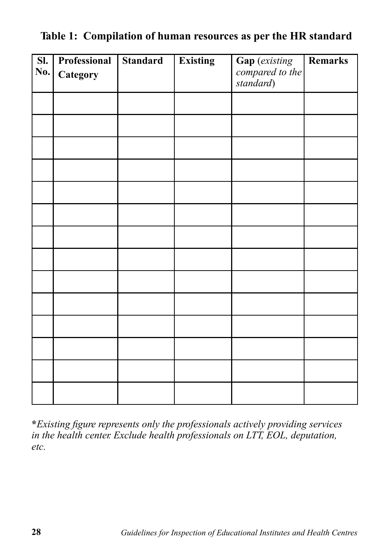| $\overline{\text{SL}}$<br>No. | Professional | <b>Standard</b> | <b>Existing</b> | Gap (existing<br>compared to the | Remarks |
|-------------------------------|--------------|-----------------|-----------------|----------------------------------|---------|
|                               | Category     |                 |                 | standard)                        |         |
|                               |              |                 |                 |                                  |         |
|                               |              |                 |                 |                                  |         |
|                               |              |                 |                 |                                  |         |
|                               |              |                 |                 |                                  |         |
|                               |              |                 |                 |                                  |         |
|                               |              |                 |                 |                                  |         |
|                               |              |                 |                 |                                  |         |
|                               |              |                 |                 |                                  |         |
|                               |              |                 |                 |                                  |         |
|                               |              |                 |                 |                                  |         |
|                               |              |                 |                 |                                  |         |
|                               |              |                 |                 |                                  |         |
|                               |              |                 |                 |                                  |         |
|                               |              |                 |                 |                                  |         |

**Table 1: Compilation of human resources as per the HR standard**

**\****Existing figure represents only the professionals actively providing services in the health center. Exclude health professionals on LTT, EOL, deputation, etc.*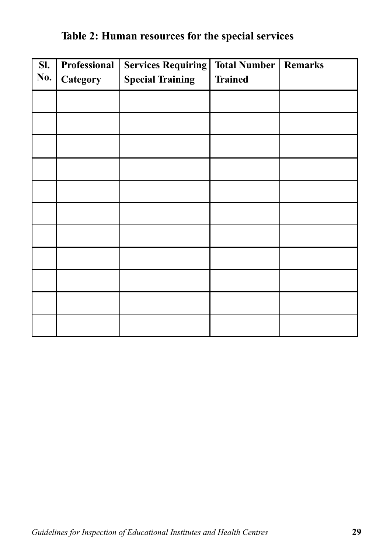#### **Table 2: Human resources for the special services**

| $\overline{\mathbf{S}}$ .<br>No. | <b>Professional</b><br>Category | <b>Services Requiring</b><br><b>Special Training</b> | <b>Total Number</b><br><b>Trained</b> | Remarks |
|----------------------------------|---------------------------------|------------------------------------------------------|---------------------------------------|---------|
|                                  |                                 |                                                      |                                       |         |
|                                  |                                 |                                                      |                                       |         |
|                                  |                                 |                                                      |                                       |         |
|                                  |                                 |                                                      |                                       |         |
|                                  |                                 |                                                      |                                       |         |
|                                  |                                 |                                                      |                                       |         |
|                                  |                                 |                                                      |                                       |         |
|                                  |                                 |                                                      |                                       |         |
|                                  |                                 |                                                      |                                       |         |
|                                  |                                 |                                                      |                                       |         |
|                                  |                                 |                                                      |                                       |         |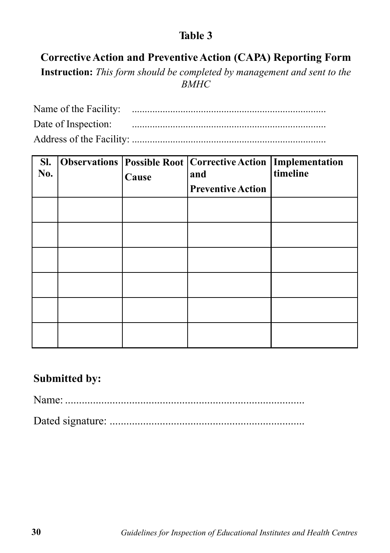#### **Table 3**

### **Corrective Action and Preventive Action (CAPA) Reporting Form**

**Instruction:** *This form should be completed by management and sent to the BMHC*

| SI.<br>No. | Cause | <b>Observations Possible Root   Corrective Action   Implementation</b><br>and<br><b>Preventive Action</b> | timeline |
|------------|-------|-----------------------------------------------------------------------------------------------------------|----------|
|            |       |                                                                                                           |          |
|            |       |                                                                                                           |          |
|            |       |                                                                                                           |          |
|            |       |                                                                                                           |          |
|            |       |                                                                                                           |          |
|            |       |                                                                                                           |          |

#### **Submitted by:**

Name: ......................................................................................

Dated signature: ......................................................................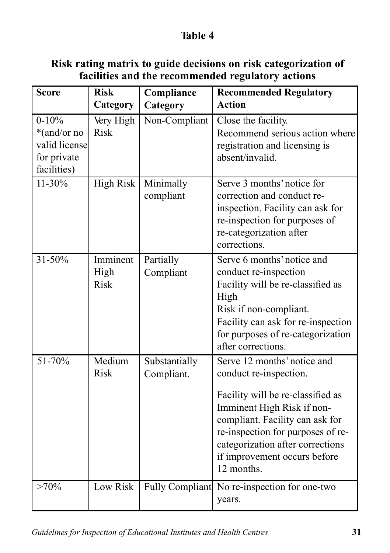#### **Table 4**

#### **Risk rating matrix to guide decisions on risk categorization of facilities and the recommended regulatory actions**

| <b>Score</b>                                                             | <b>Risk</b>                     | Compliance                  | <b>Recommended Regulatory</b>                                                                                                                                                                                                                                                      |
|--------------------------------------------------------------------------|---------------------------------|-----------------------------|------------------------------------------------------------------------------------------------------------------------------------------------------------------------------------------------------------------------------------------------------------------------------------|
|                                                                          | Category                        | Category                    | <b>Action</b>                                                                                                                                                                                                                                                                      |
| $0 - 10\%$<br>*(and/or no<br>valid license<br>for private<br>facilities) | Very High<br><b>Risk</b>        | Non-Compliant               | Close the facility.<br>Recommend serious action where<br>registration and licensing is<br>absent/invalid.                                                                                                                                                                          |
| $11 - 30\%$                                                              | <b>High Risk</b>                | Minimally<br>compliant      | Serve 3 months' notice for<br>correction and conduct re-<br>inspection. Facility can ask for<br>re-inspection for purposes of<br>re-categorization after<br>corrections.                                                                                                           |
| 31-50%                                                                   | Imminent<br>High<br><b>Risk</b> | Partially<br>Compliant      | Serve 6 months' notice and<br>conduct re-inspection<br>Facility will be re-classified as<br>High<br>Risk if non-compliant.<br>Facility can ask for re-inspection<br>for purposes of re-categorization<br>after corrections.                                                        |
| 51-70%                                                                   | Medium<br><b>Risk</b>           | Substantially<br>Compliant. | Serve 12 months' notice and<br>conduct re-inspection.<br>Facility will be re-classified as<br>Imminent High Risk if non-<br>compliant. Facility can ask for<br>re-inspection for purposes of re-<br>categorization after corrections<br>if improvement occurs before<br>12 months. |
| $>70\%$                                                                  | Low Risk                        | Fully Compliant             | No re-inspection for one-two<br>years.                                                                                                                                                                                                                                             |